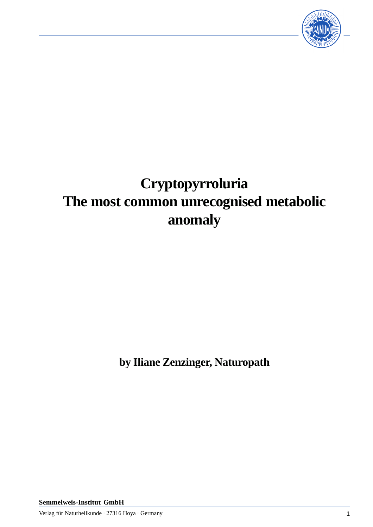

# **Cryptopyrroluria The most common unrecognised metabolic anomaly**

**by Iliane Zenzinger, Naturopath**

**Semmelweis-Institut GmbH**

Verlag für Naturheilkunde · 27316 Hoya · Germany 1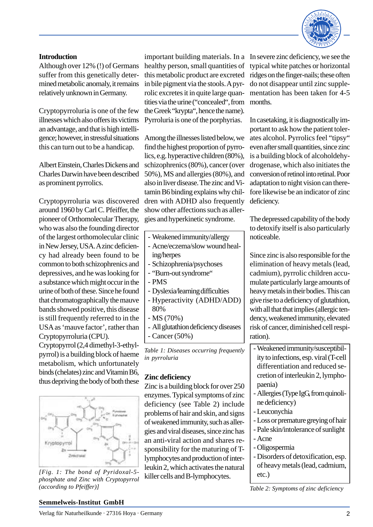

#### **Introduction**

Although over 12% (!) of Germans suffer from this genetically determined metabolic anomaly, it remains relatively unknown in Germany.

Cryptopyrroluria is one of the few illnesses which also offers its victims an advantage, and that is high intelligence; however, in stressful situations this can turn out to be a handicap.

Albert Einstein, Charles Dickens and Charles Darwin have been described as prominent pyrrolics.

Cryptopyrroluria was discovered around 1960 by Carl C. Pfeiffer, the pioneer of Orthomolecular Therapy, who was also the founding director of the largest orthomolecular clinic in New Jersey, USA. A zinc deficiency had already been found to be common to both schizophrenics and depressives, and he was looking for a substance which might occur in the urine of both of these. Since he found that chromatographically the mauve bands showed positive, this disease is still frequently referred to in the USA as 'mauve factor', rather than Cryptopyrroluria (CPU).

Cryptopyrrol (2,4 dimethyl-3-ethylpyrrol) is a building block of haeme metabolism, which unfortunately binds (chelates) zinc and Vitamin B6, thus depriving the body of both these



*[Fig. 1: The bond of Pyridoxal-5 phosphate and Zinc with Cryptopyrrol (according to Pfeiffer)]*

important building materials. In a In severe zinc deficiency, we see the healthy person, small quantities of this metabolic product are excreted in bile pigment via the stools. A pyrrolic excretes it in quite large quantities via the urine ("concealed", from the Greek "krypta", hence the name). Pyrroluria is one of the porphyrias.

Among the illnesses listed below, we find the highest proportion of pyrrolics, e.g. hyperactive children (80%), schizophrenics (80%), cancer (over 50%), MS and allergies (80%), and also in liver disease. The zinc and Vitamin B6 binding explains why children with ADHD also frequently show other affections such as allergies and hyperkinetic syndrome.

- Weakened immunity/allergy -
- Acne/eczema/slow wound healing/herpes
- Schizophrenia/psychoses -
- "Burn-out syndrome"
- PMS -
- Dyslexia/learning difficulties -
- Hyperactivity (ADHD/ADD) 80%
- MS (70%) -
- All glutathion deficiency diseases -
- Cancer (50%) -

*Table 1: Diseases occurring frequently in pyrroluria*

### **Zinc deficiency**

Zinc is a building block for over 250 enzymes. Typical symptoms of zinc deficiency (see Table 2) include problems of hair and skin, and signs of weakened immunity, such as allergies and viral diseases, since zinc has an anti-viral action and shares responsibility for the maturing of Tlymphocytes and production of interleukin 2, which activates the natural killer cells and B-lymphocytes.

typical white patches or horizontal ridges on the finger-nails; these often do not disappear until zinc supplementation has been taken for 4-5 months.

In casetaking, it is diagnostically important to ask how the patient tolerates alcohol. Pyrrolics feel "tipsy" even after small quantities, since zinc is a building block of alcoholdehydrogenase, which also initiates the conversion of retinol into retinal. Poor adaptation to night vision can therefore likewise be an indicator of zinc deficiency.

The depressed capability of the body to detoxify itself is also particularly noticeable.

Since zinc is also responsible for the elimination of heavy metals (lead, cadmium), pyrrolic children accumulate particularly large amounts of heavy metals in their bodies. This can give rise to a deficiency of glutathion, with all that that implies (allergic tendency, weakened immunity, elevated risk of cancer, diminished cell respiration).

- Weakened immunity/susceptibil- ity to infections, esp. viral (T-cell differentiation and reduced secretion of interleukin 2, lymphopaenia)
- Allergies (Type IgG, from quinoli- ne deficiency)
- Leuconychia -
- Loss or premature greying of hair -
- Pale skin/intolerance of sunlight
- Acne -
- Oligospermia Disorders of detoxification, esp. of heavy metals (lead, cadmium, etc.)

*Table 2: Symptoms of zinc deficiency*

### **Semmelweis-Institut GmbH**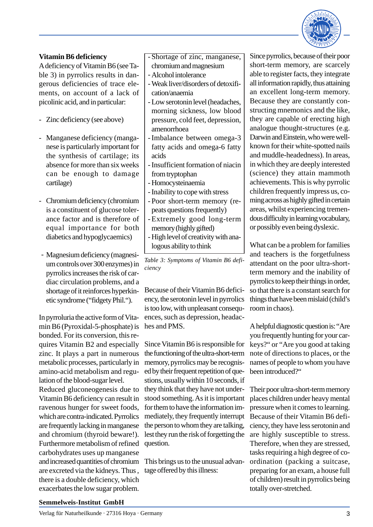

#### **Vitamin B6 deficiency**

A deficiency of Vitamin B6 (see Table 3) in pyrrolics results in dangerous deficiencies of trace elements, on account of a lack of picolinic acid, and in particular:

- Zinc deficiency (see above)
- Manganese deficiency (manganese is particularly important for the synthesis of cartilage; its absence for more than six weeks can be enough to damage cartilage)
- Chromium deficiency (chromium is a constituent of glucose tolerance factor and is therefore of equal importance for both diabetics and hypoglycaemics)
- Magnesium deficiency (magnesium controls over 300 enzymes) in pyrrolics increases the risk of cardiac circulation problems, and a shortage of it reinforces hyperkinetic syndrome ("fidgety Phil.").

In pyrroluria the active form of Vitamin B6 (Pyroxidal-5-phosphate) is bonded. For its conversion, this requires Vitamin B2 and especially zinc. It plays a part in numerous metabolic processes, particularly in amino-acid metabolism and regulation of the blood-sugar level. Reduced gluconeogenesis due to Vitamin B6 deficiency can result in ravenous hunger for sweet foods, which are contra-indicated. Pyrrolics are frequently lacking in manganese and chromium (thyroid beware!). Furthermore metabolism of refined carbohydrates uses up manganese and increased quantities of chromium are excreted via the kidneys. Thus , there is a double deficiency, which exacerbates the low sugar problem.

Shortage of zinc, manganese, chromium and magnesium

- Alcohol intolerance -
- Weak liver/disorders of detoxifi- cation/anaemia
- Low serotonin level (headaches, morning sickness, low blood pressure, cold feet, depression, amenorrhoea
- Imbalance between omega-3 fatty acids and omega-6 fatty acids
- Insufficient formation of niacin from tryptophan
- Homocysteinaemia
- Inability to cope with stress
- Poor short-term memory (re- peats questions frequently)
- Extremely good long-term memory (highly gifted)
- High level of creativity with analogous ability to think

*Table 3: Symptoms of Vitamin B6 deficiency*

Because of their Vitamin B6 deficiency, the serotonin level in pyrrolics is too low, with unpleasant consequences, such as depression, headaches and PMS.

Since Vitamin B6 is responsible for the functioning of the ultra-short-term memory, pyrrolics may be recognised by their frequent repetition of questions, usually within 10 seconds, if they think that they have not understood something. As it is important for them to have the information immediately, they frequently interrupt the person to whom they are talking, lest they run the risk of forgetting the question.

This brings us to the unusual advantage offered by this illness:

Since pyrrolics, because of their poor short-term memory, are scarcely able to register facts, they integrate all information rapidly, thus attaining an excellent long-term memory. Because they are constantly constructing mnemonics and the like, they are capable of erecting high analogue thought-structures (e.g. Darwin and Einstein, who were wellknown for their white-spotted nails and muddle-headedness). In areas, in which they are deeply interested (science) they attain mammoth achievements. This is why pyrrolic children frequently impress us, coming across as highly gifted in certain areas, whilst experiencing tremendous difficulty in learning vocabulary, or possibly even being dyslexic.

What can be a problem for families and teachers is the forgetfulness attendant on the poor ultra-shortterm memory and the inability of pyrrolics to keep their things in order, so that there is a constant search for things that have been mislaid (child's room in chaos).

A helpful diagnostic question is: "Are you frequently hunting for your carkeys?" or "Are you good at taking note of directions to places, or the names of people to whom you have been introduced?"

Their poor ultra-short-term memory places children under heavy mental pressure when it comes to learning. Because of their Vitamin B6 deficiency, they have less serotonin and are highly susceptible to stress. Therefore, when they are stressed, tasks requiring a high degree of coordination (packing a suitcase, preparing for an exam, a house full of children) result in pyrrolics being totally over-stretched.

#### **Semmelweis-Institut GmbH**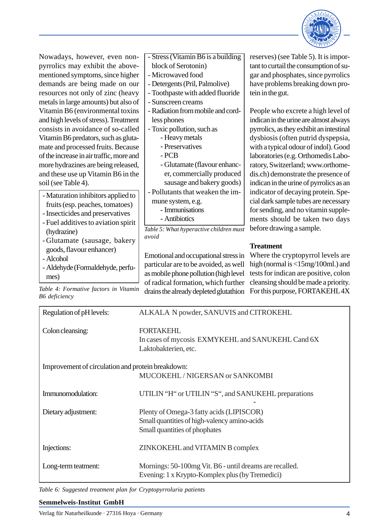

Nowadays, however, even nonpyrrolics may exhibit the abovementioned symptoms, since higher demands are being made on our resources not only of zinc (heavy metals in large amounts) but also of Vitamin B6 (environmental toxins and high levels of stress). Treatment consists in avoidance of so-called Vitamin B6 predators, such as glutamate and processed fruits. Because of the increase in air traffic, more and more hydrazines are being released, and these use up Vitamin B6 in the soil (see Table 4).

- Maturation inhibitors applied to fruits (esp. peaches, tomatoes)
- Insecticides and preservatives
- Fuel additives to aviation spirit (hydrazine)
- Glutamate (sausage, bakery goods, flavour enhancer)
- Alcohol -
- Aldehyde (Formaldehyde, perfu- mes)

*B6 deficiency*

- Stress (Vitamin B6 is a building block of Serotonin)
- Microwaved food -
- Detergents (Pril, Palmolive) -
- Toothpaste with added fluoride -
- Sunscreen creams -
- Radiation from mobile and cord- less phones
- Toxic pollution, such as
	- Heavy metals
	- Preservatives
	- PCB -
	- Glutamate (flavour enhanc- er, commercially produced sausage and bakery goods)
- Pollutants that weaken the im--
- mune system, e.g.
	- Immunisations
	- Antibiotics -

*Table 5: What hyperactive children must avoid*

Emotional and occupational stress in particular are to be avoided, as well as mobile phone pollution (high level of radical formation, which further

reserves) (see Table 5). It is important to curtail the consumption of sugar and phosphates, since pyrrolics have problems breaking down protein in the gut.

People who excrete a high level of indican in the urine are almost always pyrrolics, as they exhibit an intestinal dysbiosis (often putrid dyspepsia, with a typical odour of indol). Good laboratories (e.g. Orthomedis Laboratory, Switzerland; www.orthomedis.ch) demonstrate the presence of indican in the urine of pyrrolics as an indicator of decaying protein. Special dark sample tubes are necessary for sending, and no vitamin supplements should be taken two days before drawing a sample.

## **Treatment**

Table 4: Formative factors in Vitamin drains the already depleted glutathion For this purpose, FORTAKEHL 4X Where the cryptopyrrol levels are high (normal is <15mg/100ml.) and tests for indican are positive, colon cleansing should be made a priority.

| Regulation of pH levels:                          | ALKALA N powder, SANUVIS and CITROKEHL                                                                                    |
|---------------------------------------------------|---------------------------------------------------------------------------------------------------------------------------|
| Colon cleansing:                                  | <b>FORTAKEHL</b><br>In cases of mycosis EXMYKEHL and SANUKEHL Cand 6X<br>Laktobakterien, etc.                             |
| Improvement of circulation and protein breakdown: |                                                                                                                           |
|                                                   | MUCOKEHL / NIGERSAN or SANKOMBI                                                                                           |
| Immunomodulation:                                 | UTILIN "H" or UTILIN "S", and SANUKEHL preparations                                                                       |
| Dietary adjustment:                               | Plenty of Omega-3 fatty acids (LIPISCOR)<br>Small quantities of high-valency amino-acids<br>Small quantities of phophates |
| Injections:                                       | ZINKOKEHL and VITAMIN B complex                                                                                           |
| Long-term teatment:                               | Mornings: 50-100mg Vit. B6 - until dreams are recalled.<br>Evening: 1 x Krypto-Komplex plus (by Tremedici)                |

*Table 6: Suggested treatment plan for Cryptopyrroluria patients*

#### **Semmelweis-Institut GmbH**

Verlag für Naturheilkunde · 27316 Hoya · Germany 4